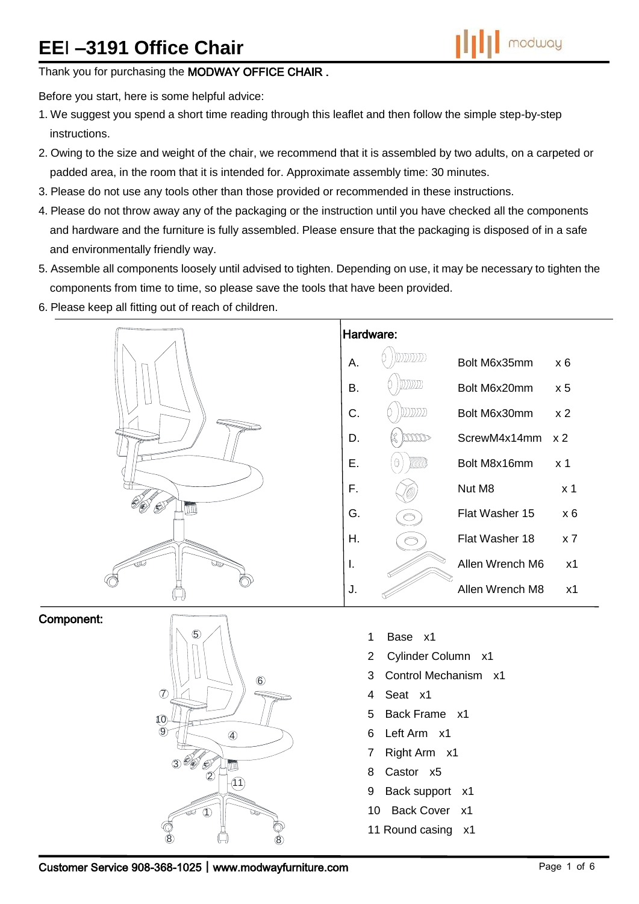# **EE**I **–3191 Office Chair**

Thank you for purchasing the MODWAY OFFICE CHAIR.

Before you start, here is some helpful advice:

- 1.We suggest you spend a short time reading through this leaflet and then follow the simple step-by-step instructions.
- 2.Owing to the size and weight of the chair, we recommend that it is assembled by two adults, on a carpeted or padded area, in the room that it is intended for. Approximate assembly time: 30 minutes.
- 3.Please do not use any tools other than those provided or recommended in these instructions.
- 4.Please do not throw away any of the packaging or the instruction until you have checked all the components and hardware and the furniture is fully assembled. Please ensure that the packaging is disposed of in a safe and environmentally friendly way.
- 5.Assemble all components loosely until advised to tighten. Depending on use, it may be necessary to tighten the components from time to time, so please save the tools that have been provided.
- 6.Please keep all fitting out of reach of children.







- 1 Base x1
- 2 Cylinder Column x1
- 3 Control Mechanism x1
- 4 Seat x1
- 5 Back Frame x1
- 6 Left Arm x1
- 7 Right Arm x1
- 8 Castor x5
- 9 Back support x1
- 10 Back Cover x1
- 11 Round casing x1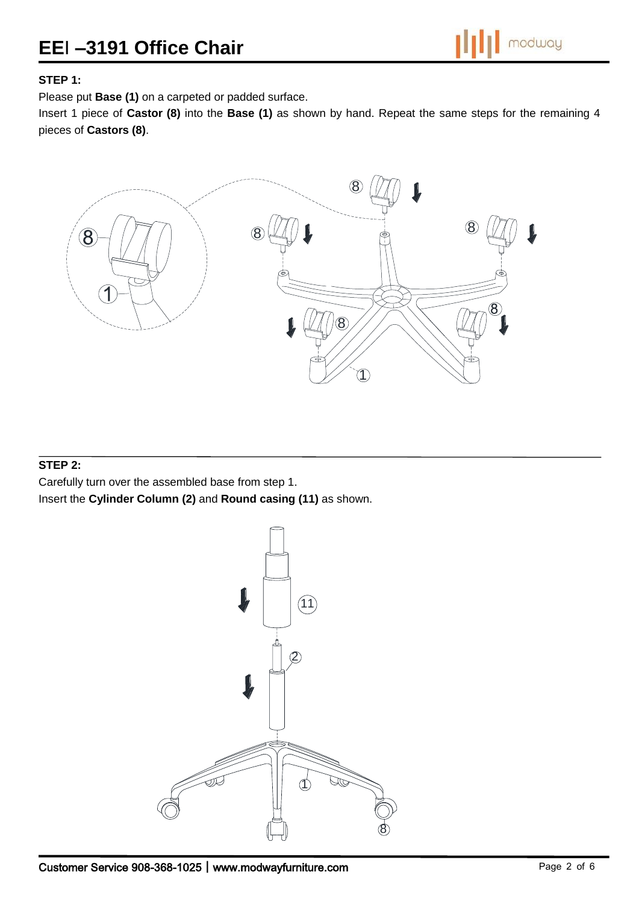# **STEP 1:**

Please put **Base (1)** on a carpeted or padded surface.

Insert 1 piece of **Castor (8)** into the **Base (1)** as shown by hand. Repeat the same steps for the remaining 4 pieces of **Castors (8)**.



## **STEP 2:**

Carefully turn over the assembled base from step 1.

Insert the **Cylinder Column (2)** and **Round casing (11)** as shown.

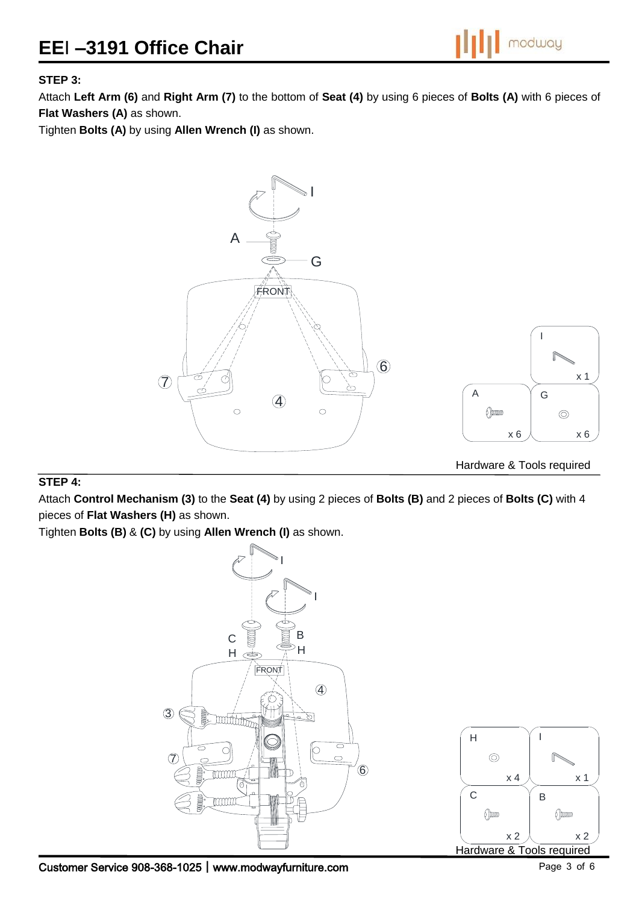modway

# **STEP 3:**

Attach **Left Arm (6)** and **Right Arm (7)** to the bottom of **Seat (4)** by using 6 pieces of **Bolts (A)** with 6 pieces of **Flat Washers (A)** as shown.

Tighten **Bolts (A)** by using **Allen Wrench (I)** as shown.



### **STEP 4:**

Attach **Control Mechanism (3)** to the **Seat (4)** by using 2 pieces of **Bolts (B)** and 2 pieces of **Bolts (C)** with 4 pieces of **Flat Washers (H)** as shown.

Tighten **Bolts (B)** & **(C)** by using **Allen Wrench (I)** as shown.



#### Customer Service 908-368-1025│www.modwayfurniture.com Page 3 of 6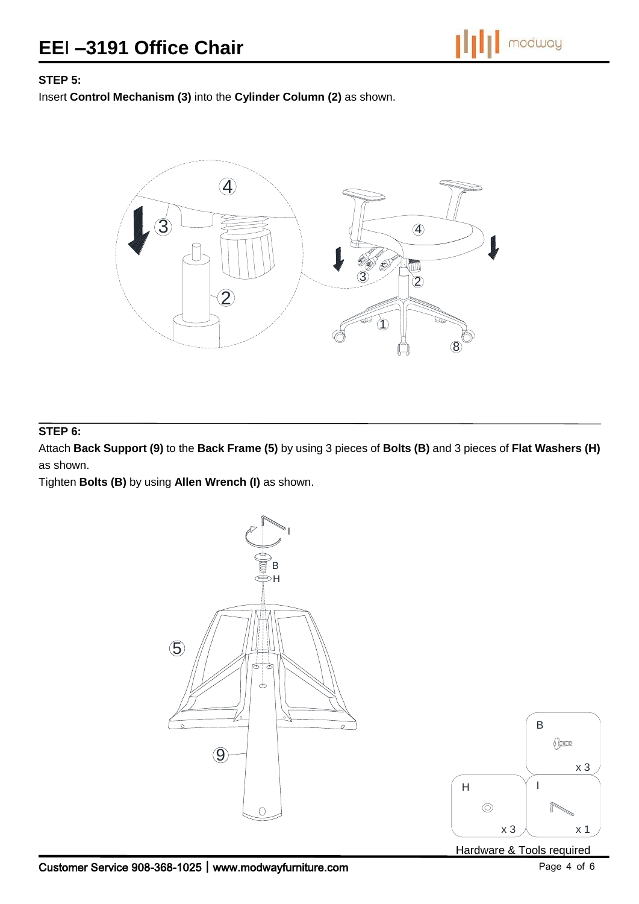# **STEP 5:**

Insert **Control Mechanism (3)** into the **Cylinder Column (2)** as shown.



#### **STEP 6:**

Attach **Back Support (9)** to the **Back Frame (5)** by using 3 pieces of **Bolts (B)** and 3 pieces of **Flat Washers (H)** as shown.

Tighten **Bolts (B)** by using **Allen Wrench (I)** as shown.

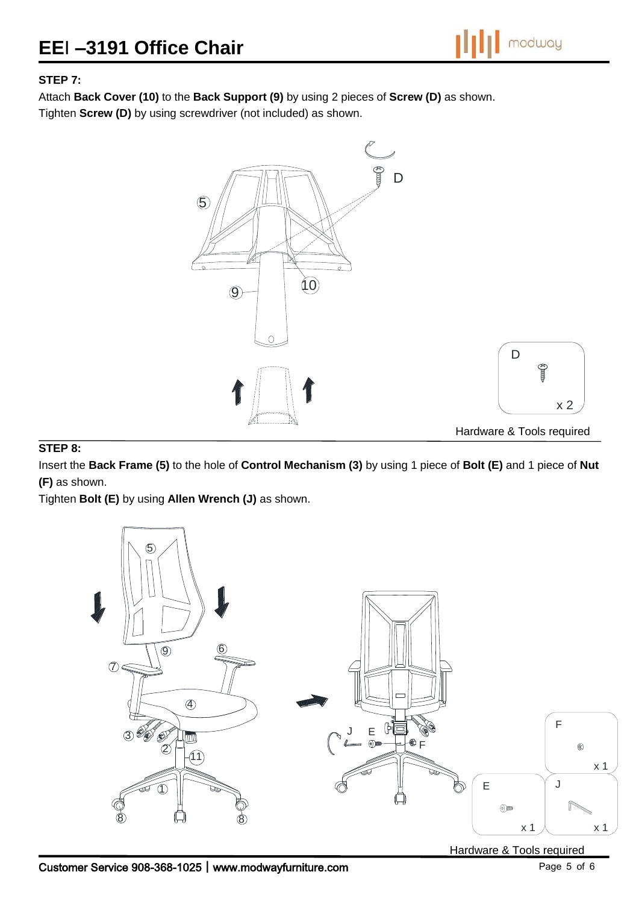

# **STEP 7:**

Attach **Back Cover (10)** to the **Back Support (9)** by using 2 pieces of **Screw (D)** as shown. Tighten **Screw (D)** by using screwdriver (not included) as shown.



### **STEP 8:**

Insert the **Back Frame (5)** to the hole of **Control Mechanism (3)** by using 1 piece of **Bolt (E)** and 1 piece of **Nut (F)** as shown.

Tighten **Bolt (E)** by using **Allen Wrench (J)** as shown.